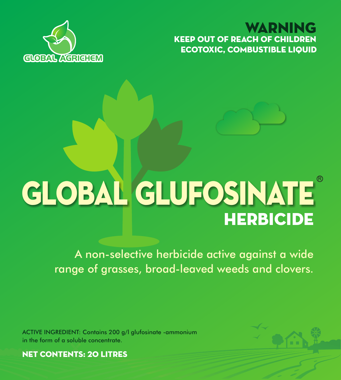KEEP OUT OF REACH OF CHILDREN WARNING ECOTOXIC, COMBUSTIBLE LIQUID



# **HERBICIDE** GLOBAL GLUFOSINATE

A non-selective herbicide active against a wide range of grasses, broad-leaved weeds and clovers.

ACTIVE INGREDIENT: Contains 200 g/l glufosinate -ammonium in the form of a soluble concentrate.



NET CONTENTS: 20 litres